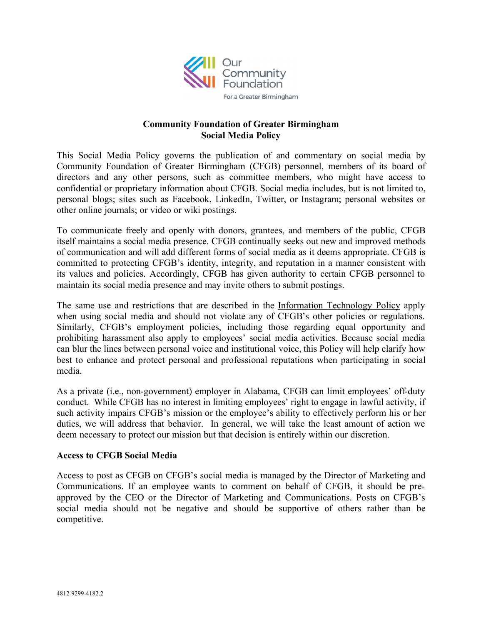

# **Community Foundation of Greater Birmingham Social Media Policy**

This Social Media Policy governs the publication of and commentary on social media by Community Foundation of Greater Birmingham (CFGB) personnel, members of its board of directors and any other persons, such as committee members, who might have access to confidential or proprietary information about CFGB. Social media includes, but is not limited to, personal blogs; sites such as Facebook, LinkedIn, Twitter, or Instagram; personal websites or other online journals; or video or wiki postings.

To communicate freely and openly with donors, grantees, and members of the public, CFGB itself maintains a social media presence. CFGB continually seeks out new and improved methods of communication and will add different forms of social media as it deems appropriate. CFGB is committed to protecting CFGB's identity, integrity, and reputation in a manner consistent with its values and policies. Accordingly, CFGB has given authority to certain CFGB personnel to maintain its social media presence and may invite others to submit postings.

The same use and restrictions that are described in the Information Technology Policy apply when using social media and should not violate any of CFGB's other policies or regulations. Similarly, CFGB's employment policies, including those regarding equal opportunity and prohibiting harassment also apply to employees' social media activities. Because social media can blur the lines between personal voice and institutional voice, this Policy will help clarify how best to enhance and protect personal and professional reputations when participating in social media.

As a private (i.e., non-government) employer in Alabama, CFGB can limit employees' off-duty conduct. While CFGB has no interest in limiting employees' right to engage in lawful activity, if such activity impairs CFGB's mission or the employee's ability to effectively perform his or her duties, we will address that behavior. In general, we will take the least amount of action we deem necessary to protect our mission but that decision is entirely within our discretion.

## **Access to CFGB Social Media**

Access to post as CFGB on CFGB's social media is managed by the Director of Marketing and Communications. If an employee wants to comment on behalf of CFGB, it should be preapproved by the CEO or the Director of Marketing and Communications. Posts on CFGB's social media should not be negative and should be supportive of others rather than be competitive.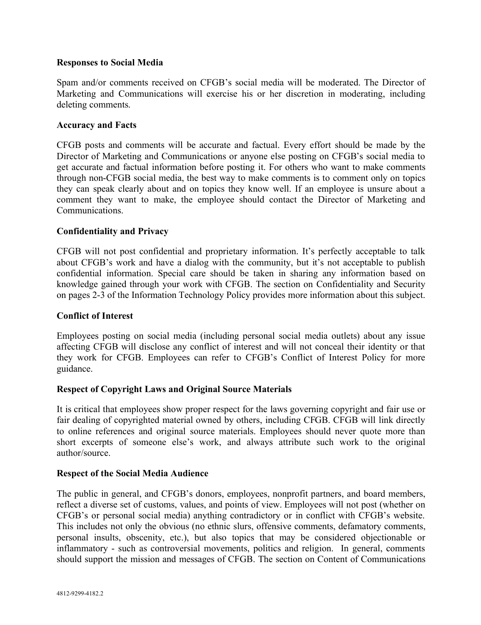### **Responses to Social Media**

Spam and/or comments received on CFGB's social media will be moderated. The Director of Marketing and Communications will exercise his or her discretion in moderating, including deleting comments.

### **Accuracy and Facts**

CFGB posts and comments will be accurate and factual. Every effort should be made by the Director of Marketing and Communications or anyone else posting on CFGB's social media to get accurate and factual information before posting it. For others who want to make comments through non-CFGB social media, the best way to make comments is to comment only on topics they can speak clearly about and on topics they know well. If an employee is unsure about a comment they want to make, the employee should contact the Director of Marketing and Communications.

## **Confidentiality and Privacy**

CFGB will not post confidential and proprietary information. It's perfectly acceptable to talk about CFGB's work and have a dialog with the community, but it's not acceptable to publish confidential information. Special care should be taken in sharing any information based on knowledge gained through your work with CFGB. The section on Confidentiality and Security on pages 2-3 of the Information Technology Policy provides more information about this subject.

### **Conflict of Interest**

Employees posting on social media (including personal social media outlets) about any issue affecting CFGB will disclose any conflict of interest and will not conceal their identity or that they work for CFGB. Employees can refer to CFGB's Conflict of Interest Policy for more guidance.

## **Respect of Copyright Laws and Original Source Materials**

It is critical that employees show proper respect for the laws governing copyright and fair use or fair dealing of copyrighted material owned by others, including CFGB. CFGB will link directly to online references and original source materials. Employees should never quote more than short excerpts of someone else's work, and always attribute such work to the original author/source.

#### **Respect of the Social Media Audience**

The public in general, and CFGB's donors, employees, nonprofit partners, and board members, reflect a diverse set of customs, values, and points of view. Employees will not post (whether on CFGB's or personal social media) anything contradictory or in conflict with CFGB's website. This includes not only the obvious (no ethnic slurs, offensive comments, defamatory comments, personal insults, obscenity, etc.), but also topics that may be considered objectionable or inflammatory - such as controversial movements, politics and religion. In general, comments should support the mission and messages of CFGB. The section on Content of Communications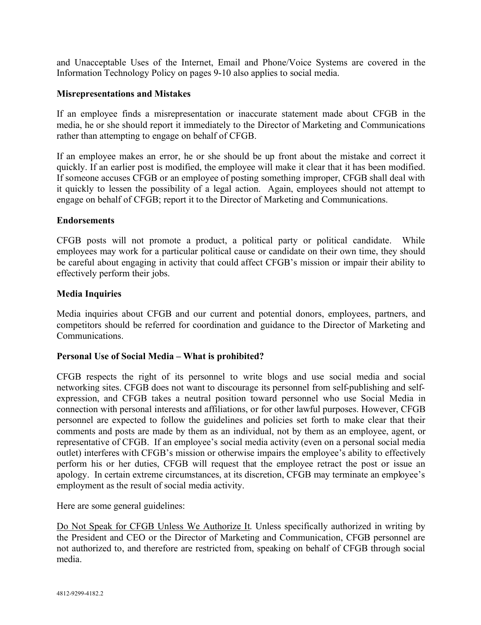and Unacceptable Uses of the Internet, Email and Phone/Voice Systems are covered in the Information Technology Policy on pages 9-10 also applies to social media.

## **Misrepresentations and Mistakes**

If an employee finds a misrepresentation or inaccurate statement made about CFGB in the media, he or she should report it immediately to the Director of Marketing and Communications rather than attempting to engage on behalf of CFGB.

If an employee makes an error, he or she should be up front about the mistake and correct it quickly. If an earlier post is modified, the employee will make it clear that it has been modified. If someone accuses CFGB or an employee of posting something improper, CFGB shall deal with it quickly to lessen the possibility of a legal action. Again, employees should not attempt to engage on behalf of CFGB; report it to the Director of Marketing and Communications.

## **Endorsements**

CFGB posts will not promote a product, a political party or political candidate. While employees may work for a particular political cause or candidate on their own time, they should be careful about engaging in activity that could affect CFGB's mission or impair their ability to effectively perform their jobs.

## **Media Inquiries**

Media inquiries about CFGB and our current and potential donors, employees, partners, and competitors should be referred for coordination and guidance to the Director of Marketing and Communications.

## **Personal Use of Social Media – What is prohibited?**

CFGB respects the right of its personnel to write blogs and use social media and social networking sites. CFGB does not want to discourage its personnel from self-publishing and selfexpression, and CFGB takes a neutral position toward personnel who use Social Media in connection with personal interests and affiliations, or for other lawful purposes. However, CFGB personnel are expected to follow the guidelines and policies set forth to make clear that their comments and posts are made by them as an individual, not by them as an employee, agent, or representative of CFGB. If an employee's social media activity (even on a personal social media outlet) interferes with CFGB's mission or otherwise impairs the employee's ability to effectively perform his or her duties, CFGB will request that the employee retract the post or issue an apology. In certain extreme circumstances, at its discretion, CFGB may terminate an employee's employment as the result of social media activity.

Here are some general guidelines:

Do Not Speak for CFGB Unless We Authorize It. Unless specifically authorized in writing by the President and CEO or the Director of Marketing and Communication, CFGB personnel are not authorized to, and therefore are restricted from, speaking on behalf of CFGB through social media.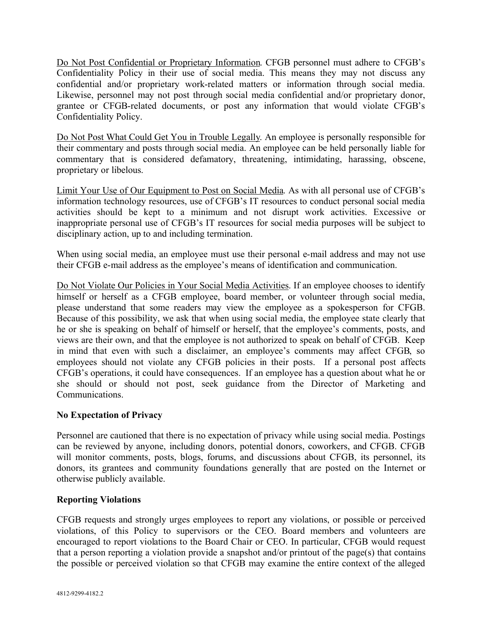Do Not Post Confidential or Proprietary Information. CFGB personnel must adhere to CFGB's Confidentiality Policy in their use of social media. This means they may not discuss any confidential and/or proprietary work-related matters or information through social media. Likewise, personnel may not post through social media confidential and/or proprietary donor, grantee or CFGB-related documents, or post any information that would violate CFGB's Confidentiality Policy.

Do Not Post What Could Get You in Trouble Legally. An employee is personally responsible for their commentary and posts through social media. An employee can be held personally liable for commentary that is considered defamatory, threatening, intimidating, harassing, obscene, proprietary or libelous.

Limit Your Use of Our Equipment to Post on Social Media. As with all personal use of CFGB's information technology resources, use of CFGB's IT resources to conduct personal social media activities should be kept to a minimum and not disrupt work activities. Excessive or inappropriate personal use of CFGB's IT resources for social media purposes will be subject to disciplinary action, up to and including termination.

When using social media, an employee must use their personal e-mail address and may not use their CFGB e-mail address as the employee's means of identification and communication.

Do Not Violate Our Policies in Your Social Media Activities. If an employee chooses to identify himself or herself as a CFGB employee, board member, or volunteer through social media, please understand that some readers may view the employee as a spokesperson for CFGB. Because of this possibility, we ask that when using social media, the employee state clearly that he or she is speaking on behalf of himself or herself, that the employee's comments, posts, and views are their own, and that the employee is not authorized to speak on behalf of CFGB. Keep in mind that even with such a disclaimer, an employee's comments may affect CFGB, so employees should not violate any CFGB policies in their posts. If a personal post affects CFGB's operations, it could have consequences. If an employee has a question about what he or she should or should not post, seek guidance from the Director of Marketing and Communications.

# **No Expectation of Privacy**

Personnel are cautioned that there is no expectation of privacy while using social media. Postings can be reviewed by anyone, including donors, potential donors, coworkers, and CFGB. CFGB will monitor comments, posts, blogs, forums, and discussions about CFGB, its personnel, its donors, its grantees and community foundations generally that are posted on the Internet or otherwise publicly available.

# **Reporting Violations**

CFGB requests and strongly urges employees to report any violations, or possible or perceived violations, of this Policy to supervisors or the CEO. Board members and volunteers are encouraged to report violations to the Board Chair or CEO. In particular, CFGB would request that a person reporting a violation provide a snapshot and/or printout of the page(s) that contains the possible or perceived violation so that CFGB may examine the entire context of the alleged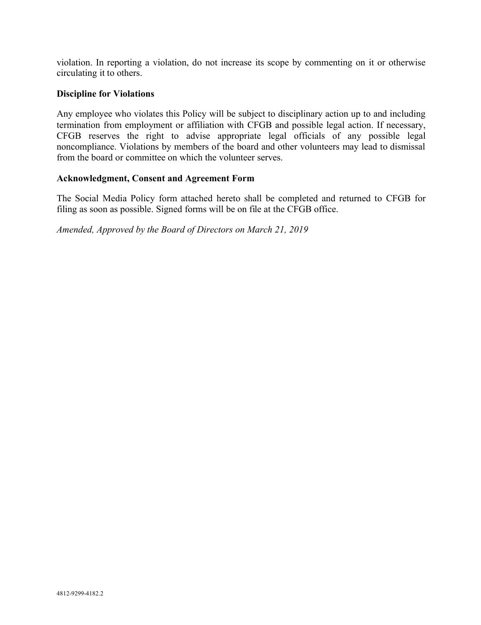violation. In reporting a violation, do not increase its scope by commenting on it or otherwise circulating it to others.

## **Discipline for Violations**

Any employee who violates this Policy will be subject to disciplinary action up to and including termination from employment or affiliation with CFGB and possible legal action. If necessary, CFGB reserves the right to advise appropriate legal officials of any possible legal noncompliance. Violations by members of the board and other volunteers may lead to dismissal from the board or committee on which the volunteer serves.

### **Acknowledgment, Consent and Agreement Form**

The Social Media Policy form attached hereto shall be completed and returned to CFGB for filing as soon as possible. Signed forms will be on file at the CFGB office.

*Amended, Approved by the Board of Directors on March 21, 2019*